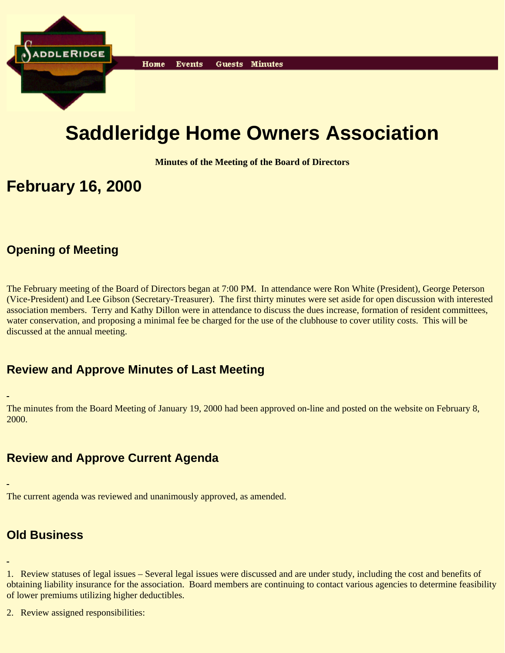

# **Saddleridge Home Owners Association**

**Minutes of the Meeting of the Board of Directors**

# **February 16, 2000**

### **Opening of Meeting**

The February meeting of the Board of Directors began at 7:00 PM. In attendance were Ron White (President), George Peterson (Vice-President) and Lee Gibson (Secretary-Treasurer). The first thirty minutes were set aside for open discussion with interested association members. Terry and Kathy Dillon were in attendance to discuss the dues increase, formation of resident committees, water conservation, and proposing a minimal fee be charged for the use of the clubhouse to cover utility costs. This will be discussed at the annual meeting.

### **Review and Approve Minutes of Last Meeting**

The minutes from the Board Meeting of January 19, 2000 had been approved on-line and posted on the website on February 8, 2000.

### **Review and Approve Current Agenda**

The current agenda was reviewed and unanimously approved, as amended.

## **Old Business**

1. Review statuses of legal issues – Several legal issues were discussed and are under study, including the cost and benefits of obtaining liability insurance for the association. Board members are continuing to contact various agencies to determine feasibility of lower premiums utilizing higher deductibles.

2. Review assigned responsibilities: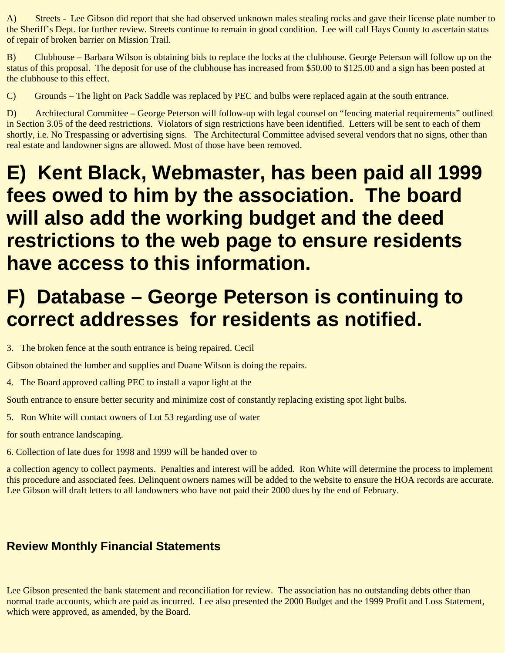A) Streets - Lee Gibson did report that she had observed unknown males stealing rocks and gave their license plate number to the Sheriff's Dept. for further review. Streets continue to remain in good condition. Lee will call Hays County to ascertain status of repair of broken barrier on Mission Trail.

B) Clubhouse – Barbara Wilson is obtaining bids to replace the locks at the clubhouse. George Peterson will follow up on the status of this proposal. The deposit for use of the clubhouse has increased from \$50.00 to \$125.00 and a sign has been posted at the clubhouse to this effect.

C) Grounds – The light on Pack Saddle was replaced by PEC and bulbs were replaced again at the south entrance.

D) Architectural Committee – George Peterson will follow-up with legal counsel on "fencing material requirements" outlined in Section 3.05 of the deed restrictions. Violators of sign restrictions have been identified. Letters will be sent to each of them shortly, i.e. No Trespassing or advertising signs. The Architectural Committee advised several vendors that no signs, other than real estate and landowner signs are allowed. Most of those have been removed.

# **E) Kent Black, Webmaster, has been paid all 1999 fees owed to him by the association. The board will also add the working budget and the deed restrictions to the web page to ensure residents have access to this information.**

# **F) Database – George Peterson is continuing to correct addresses for residents as notified.**

3. The broken fence at the south entrance is being repaired. Cecil

Gibson obtained the lumber and supplies and Duane Wilson is doing the repairs.

4. The Board approved calling PEC to install a vapor light at the

South entrance to ensure better security and minimize cost of constantly replacing existing spot light bulbs.

5. Ron White will contact owners of Lot 53 regarding use of water

for south entrance landscaping.

6. Collection of late dues for 1998 and 1999 will be handed over to

a collection agency to collect payments. Penalties and interest will be added. Ron White will determine the process to implement this procedure and associated fees. Delinquent owners names will be added to the website to ensure the HOA records are accurate. Lee Gibson will draft letters to all landowners who have not paid their 2000 dues by the end of February.

## **Review Monthly Financial Statements**

Lee Gibson presented the bank statement and reconciliation for review. The association has no outstanding debts other than normal trade accounts, which are paid as incurred. Lee also presented the 2000 Budget and the 1999 Profit and Loss Statement, which were approved, as amended, by the Board.